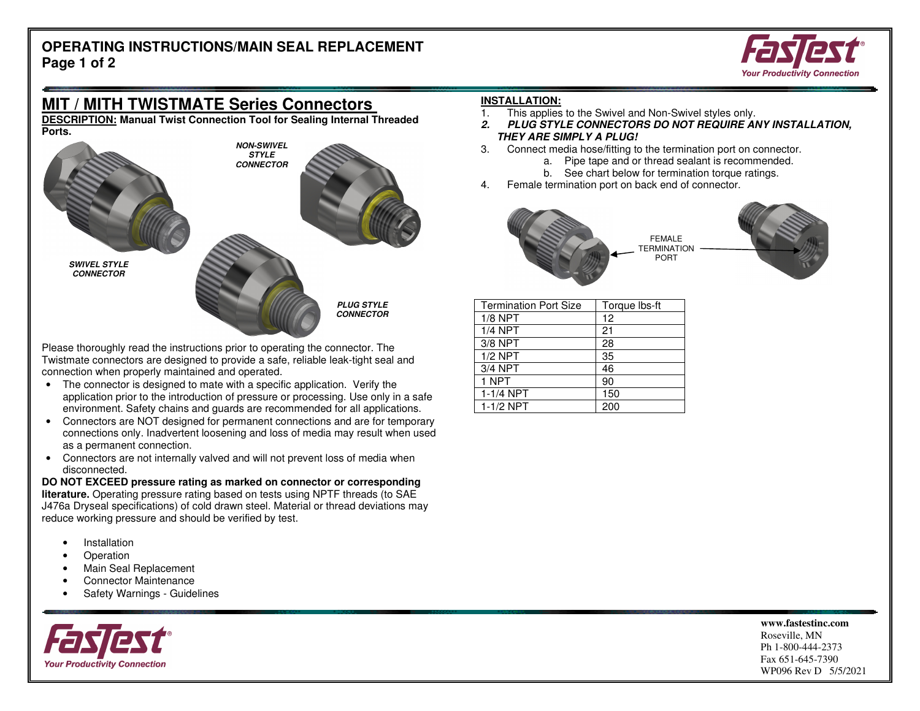### **OPERATING INSTRUCTIONS/MAIN SEAL REPLACEMENT Page 1 of 2**



# **MIT / MITH TWISTMATE Series Connectors**

 **DESCRIPTION: Manual Twist Connection Tool for Sealing Internal Threaded Ports.** 



Please thoroughly read the instructions prior to operating the connector. The Twistmate connectors are designed to provide a safe, reliable leak-tight seal and connection when properly maintained and operated.

- The connector is designed to mate with a specific application. Verify the application prior to the introduction of pressure or processing. Use only in a safe environment. Safety chains and guards are recommended for all applications.
- Connectors are NOT designed for permanent connections and are for temporary connections only. Inadvertent loosening and loss of media may result when used as a permanent connection.
- Connectors are not internally valved and will not prevent loss of media when disconnected.

 **DO NOT EXCEED pressure rating as marked on connector or corresponding literature.** Operating pressure rating based on tests using NPTF threads (to SAE J476a Dryseal specifications) of cold drawn steel. Material or thread deviations may reduce working pressure and should be verified by test.

- **Installation**
- Operation
- Main Seal Replacement
- Connector Maintenance
- Safety Warnings Guidelines



#### **INSTALLATION:**

- 1. This applies to the Swivel and Non-Swivel styles only.
- **2. PLUG STYLE CONNECTORS DO NOT REQUIRE ANY INSTALLATION, THEY ARE SIMPLY A PLUG!**
- 3. Connect media hose/fitting to the termination port on connector.
	- a. Pipe tape and or thread sealant is recommended.
		- b. See chart below for termination torque ratings.
- 4. Female termination port on back end of connector.



| <b>Termination Port Size</b> | Torque Ibs-ft |
|------------------------------|---------------|
| $1/8$ NPT                    | 12            |
| $1/4$ NPT                    | 21            |
| $3/8$ NPT                    | 28            |
| $1/2$ NPT                    | 35            |
| 3/4 NPT                      | 46            |
| 1 NPT                        | 90            |
| $\overline{1}$ -1/4 NPT      | 150           |
| $1-1/2$ NPT                  | 200           |

 **www.fastestinc.com** Roseville, MN

 Ph 1-800-444-2373 Fax 651-645-7390 WP096 Rev D 5/5/2021